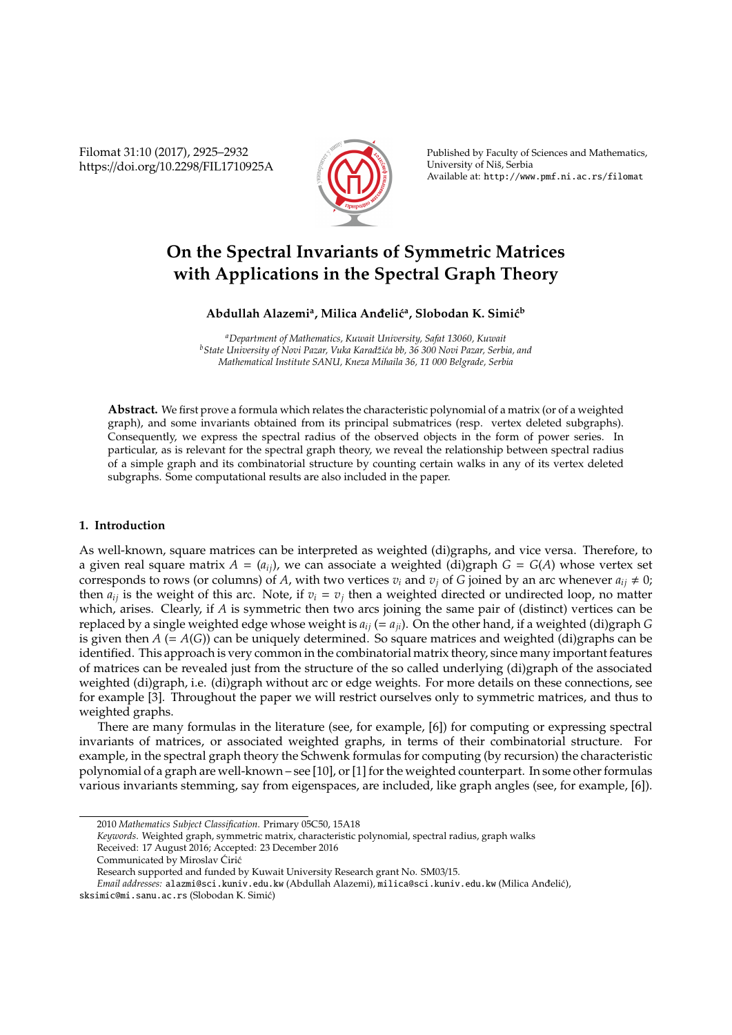Filomat 31:10 (2017), 2925–2932 https://doi.org/10.2298/FIL1710925A



Published by Faculty of Sciences and Mathematics, University of Niš, Serbia Available at: http://www.pmf.ni.ac.rs/filomat

# **On the Spectral Invariants of Symmetric Matrices with Applications in the Spectral Graph Theory**

# Abdullah Alazemi<sup>a</sup>, Milica Anđelić<sup>a</sup>, Slobodan K. Simić<sup>b</sup>

*<sup>a</sup>Department of Mathematics, Kuwait University, Safat 13060, Kuwait <sup>b</sup>State University of Novi Pazar, Vuka Karadži´ca bb, 36 300 Novi Pazar, Serbia, and Mathematical Institute SANU, Kneza Mihaila 36, 11 000 Belgrade, Serbia*

**Abstract.** We first prove a formula which relates the characteristic polynomial of a matrix (or of a weighted graph), and some invariants obtained from its principal submatrices (resp. vertex deleted subgraphs). Consequently, we express the spectral radius of the observed objects in the form of power series. In particular, as is relevant for the spectral graph theory, we reveal the relationship between spectral radius of a simple graph and its combinatorial structure by counting certain walks in any of its vertex deleted subgraphs. Some computational results are also included in the paper.

# **1. Introduction**

As well-known, square matrices can be interpreted as weighted (di)graphs, and vice versa. Therefore, to a given real square matrix  $A = (a_{ij})$ , we can associate a weighted (di)graph  $G = G(A)$  whose vertex set corresponds to rows (or columns) of *A*, with two vertices  $v_i$  and  $v_j$  of *G* joined by an arc whenever  $a_{ij} \neq 0$ ; then  $a_{ij}$  is the weight of this arc. Note, if  $v_i = v_j$  then a weighted directed or undirected loop, no matter which, arises. Clearly, if *A* is symmetric then two arcs joining the same pair of (distinct) vertices can be replaced by a single weighted edge whose weight is  $a_{ij}$  (=  $a_{ji}$ ). On the other hand, if a weighted (di)graph *G* is given then  $A$  (=  $A(G)$ ) can be uniquely determined. So square matrices and weighted (di)graphs can be identified. This approach is very common in the combinatorial matrix theory, since many important features of matrices can be revealed just from the structure of the so called underlying (di)graph of the associated weighted (di)graph, i.e. (di)graph without arc or edge weights. For more details on these connections, see for example [3]. Throughout the paper we will restrict ourselves only to symmetric matrices, and thus to weighted graphs.

There are many formulas in the literature (see, for example, [6]) for computing or expressing spectral invariants of matrices, or associated weighted graphs, in terms of their combinatorial structure. For example, in the spectral graph theory the Schwenk formulas for computing (by recursion) the characteristic polynomial of a graph are well-known – see [10], or [1] for the weighted counterpart. In some other formulas various invariants stemming, say from eigenspaces, are included, like graph angles (see, for example, [6]).

<sup>2010</sup> *Mathematics Subject Classification*. Primary 05C50, 15A18

*Keywords*. Weighted graph, symmetric matrix, characteristic polynomial, spectral radius, graph walks

Received: 17 August 2016; Accepted: 23 December 2016

Communicated by Miroslav Ćirić

Research supported and funded by Kuwait University Research grant No. SM03/15.

*Email addresses:* alazmi@sci.kuniv.edu.kw (Abdullah Alazemi), milica@sci.kuniv.edu.kw (Milica Andeli´c), ¯

sksimic@mi.sanu.ac.rs (Slobodan K. Simić)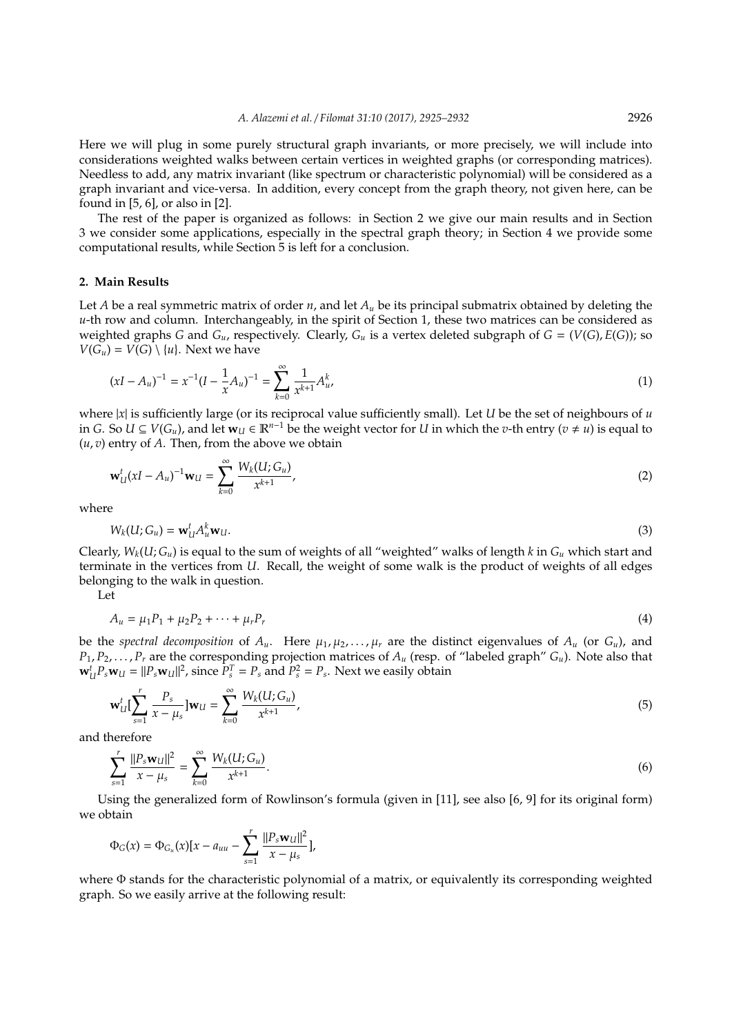Here we will plug in some purely structural graph invariants, or more precisely, we will include into considerations weighted walks between certain vertices in weighted graphs (or corresponding matrices). Needless to add, any matrix invariant (like spectrum or characteristic polynomial) will be considered as a graph invariant and vice-versa. In addition, every concept from the graph theory, not given here, can be found in [5, 6], or also in [2].

The rest of the paper is organized as follows: in Section 2 we give our main results and in Section 3 we consider some applications, especially in the spectral graph theory; in Section 4 we provide some computational results, while Section 5 is left for a conclusion.

#### **2. Main Results**

Let *A* be a real symmetric matrix of order *n*, and let  $A<sub>u</sub>$  be its principal submatrix obtained by deleting the *u*-th row and column. Interchangeably, in the spirit of Section 1, these two matrices can be considered as weighted graphs *G* and  $G_u$ , respectively. Clearly,  $G_u$  is a vertex deleted subgraph of  $G = (V(G), E(G))$ ; so  $V(G_u) = V(G) \setminus \{u\}$ . Next we have

$$
(xI - A_u)^{-1} = x^{-1}(I - \frac{1}{x}A_u)^{-1} = \sum_{k=0}^{\infty} \frac{1}{x^{k+1}} A_u^k,
$$
\n(1)

where  $|x|$  is sufficiently large (or its reciprocal value sufficiently small). Let *U* be the set of neighbours of *u* in *G*. So *U* ⊆ *V*( $G_u$ ), and let  $w_U$  ∈  $\mathbb{R}^{n-1}$  be the weight vector for *U* in which the *v*-th entry (*v* ≠ *u*) is equal to (*u*, *v*) entry of *A*. Then, from the above we obtain

$$
\mathbf{w}_U^t (xI - A_u)^{-1} \mathbf{w}_U = \sum_{k=0}^{\infty} \frac{W_k(U; G_u)}{x^{k+1}},
$$
\n(2)

where

$$
W_k(U;G_u) = \mathbf{w}_U^t A_u^k \mathbf{w}_U.
$$
 (3)

Clearly,  $W_k(U; G_u)$  is equal to the sum of weights of all "weighted" walks of length *k* in  $G_u$  which start and terminate in the vertices from *U*. Recall, the weight of some walk is the product of weights of all edges belonging to the walk in question.

Let

$$
A_u = \mu_1 P_1 + \mu_2 P_2 + \dots + \mu_r P_r \tag{4}
$$

be the *spectral decomposition* of  $A_u$ . Here  $\mu_1, \mu_2, \ldots, \mu_r$  are the distinct eigenvalues of  $A_u$  (or  $G_u$ ), and  $P_1, P_2, \ldots, P_r$  are the corresponding projection matrices of  $A_u$  (resp. of "labeled graph"  $G_u$ ). Note also that  $\mathbf{w}_U^t P_s \mathbf{w}_U = ||P_s \mathbf{w}_U||^2$ , since  $P_s^T = P_s$  and  $P_s^2 = P_s$ . Next we easily obtain

$$
\mathbf{w}_{U}^{t}[\sum_{s=1}^{r} \frac{P_{s}}{x - \mu_{s}}] \mathbf{w}_{U} = \sum_{k=0}^{\infty} \frac{W_{k}(U; G_{u})}{x^{k+1}},
$$
\n(5)

and therefore

$$
\sum_{s=1}^{r} \frac{||P_s \mathbf{w}_U||^2}{x - \mu_s} = \sum_{k=0}^{\infty} \frac{W_k(U; G_u)}{x^{k+1}}.
$$
\n(6)

Using the generalized form of Rowlinson's formula (given in [11], see also [6, 9] for its original form) we obtain

$$
\Phi_G(x) = \Phi_{G_u}(x)[x - a_{uu} - \sum_{s=1}^r \frac{||P_s \mathbf{w}_U||^2}{x - \mu_s}],
$$

where Φ stands for the characteristic polynomial of a matrix, or equivalently its corresponding weighted graph. So we easily arrive at the following result: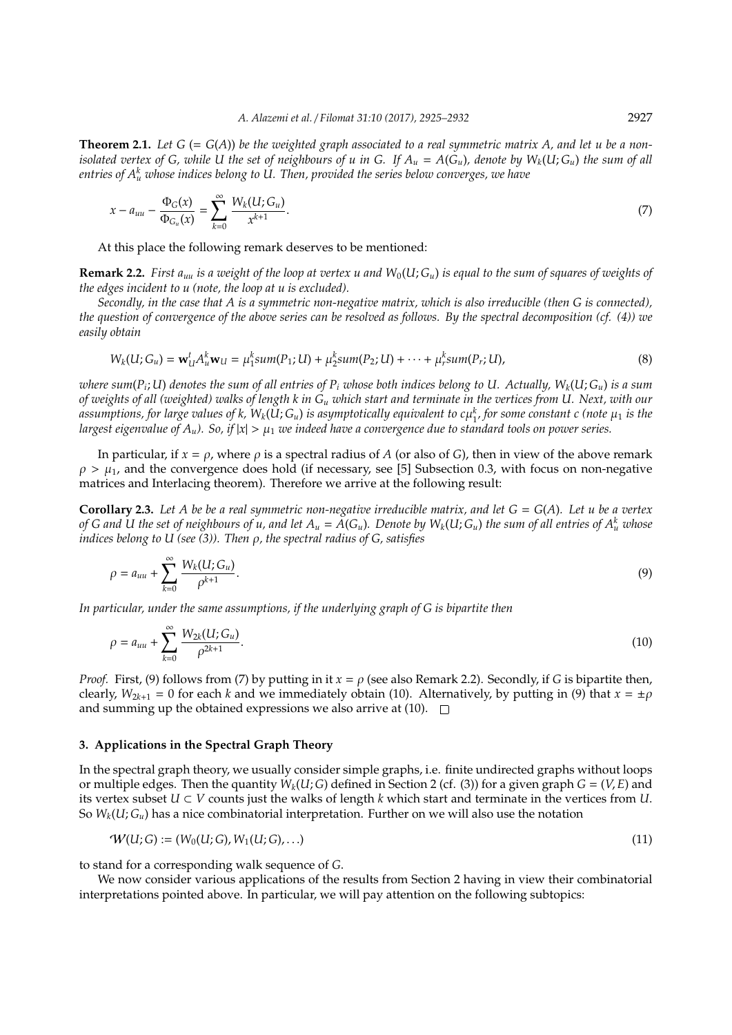**Theorem 2.1.** Let  $G = G(A)$  be the weighted graph associated to a real symmetric matrix A, and let u be a non*isolated vertex of G, while U the set of neighbours of u in G. If*  $A_u = A(G_u)$ *, denote by*  $W_k(U; G_u)$  *the sum of all entries of A<sup>k</sup> <sup>u</sup> whose indices belong to U. Then, provided the series below converges, we have*

$$
x - a_{uu} - \frac{\Phi_G(x)}{\Phi_{G_u}(x)} = \sum_{k=0}^{\infty} \frac{W_k(U;G_u)}{x^{k+1}}.
$$
\n(7)

At this place the following remark deserves to be mentioned:

**Remark 2.2.** *First a<sub>uu</sub> is a weight of the loop at vertex u and*  $W_0(U; G_u)$  *is equal to the sum of squares of weights of the edges incident to u (note, the loop at u is excluded).*

*Secondly, in the case that A is a symmetric non-negative matrix, which is also irreducible (then G is connected), the question of convergence of the above series can be resolved as follows. By the spectral decomposition (cf. (4)) we easily obtain*

$$
W_k(U; G_u) = \mathbf{w}_U^t A_u^k \mathbf{w}_U = \mu_1^k sum(P_1; U) + \mu_2^k sum(P_2; U) + \dots + \mu_r^k sum(P_r; U),
$$
\n(8)

*where sum*(*P<sup>i</sup>* ; *U*) *denotes the sum of all entries of P<sup>i</sup> whose both indices belong to U. Actually, Wk*(*U*; *Gu*) *is a sum of weights of all (weighted) walks of length k in G<sup>u</sup> which start and terminate in the vertices from U. Next, with our* assumptions, for large values of k,  $W_k(U;G_u)$  is asymptotically equivalent to  $c\mu_1^k$ , for some constant  $c$  (note  $\mu_1$  is the *largest eigenvalue of*  $A_u$ *). So, if*  $|x| > \mu_1$  *we indeed have a convergence due to standard tools on power series.* 

In particular, if  $x = \rho$ , where  $\rho$  is a spectral radius of *A* (or also of *G*), then in view of the above remark  $\rho > \mu_1$ , and the convergence does hold (if necessary, see [5] Subsection 0.3, with focus on non-negative matrices and Interlacing theorem). Therefore we arrive at the following result:

**Corollary 2.3.** Let A be be a real symmetric non-negative irreducible matrix, and let  $G = G(A)$ . Let u be a vertex *of G and U the set of neighbours of u, and let*  $A_u = A(G_u)$ *. Denote by*  $W_k(U;G_u)$  *the sum of all entries of*  $A_u^k$  *whose indices belong to U (see (3)). Then* ρ*, the spectral radius of G, satisfies*

$$
\rho = a_{uu} + \sum_{k=0}^{\infty} \frac{W_k(U;G_u)}{\rho^{k+1}}.
$$
\n(9)

*In particular, under the same assumptions, if the underlying graph of G is bipartite then*

$$
\rho = a_{uu} + \sum_{k=0}^{\infty} \frac{W_{2k}(U; G_u)}{\rho^{2k+1}}.
$$
\n(10)

*Proof.* First, (9) follows from (7) by putting in it  $x = \rho$  (see also Remark 2.2). Secondly, if *G* is bipartite then, clearly,  $W_{2k+1} = 0$  for each *k* and we immediately obtain (10). Alternatively, by putting in (9) that  $x = \pm \rho$ and summing up the obtained expressions we also arrive at  $(10)$ .  $\Box$ 

### **3. Applications in the Spectral Graph Theory**

In the spectral graph theory, we usually consider simple graphs, i.e. finite undirected graphs without loops or multiple edges. Then the quantity  $W_k(U; G)$  defined in Section 2 (cf. (3)) for a given graph  $G = (V, E)$  and its vertex subset  $U \subset V$  counts just the walks of length  $k$  which start and terminate in the vertices from  $U$ . So  $W_k(U; G_u)$  has a nice combinatorial interpretation. Further on we will also use the notation

$$
W(U;G) := (W_0(U;G), W_1(U;G), \ldots)
$$
\n(11)

to stand for a corresponding walk sequence of *G*.

We now consider various applications of the results from Section 2 having in view their combinatorial interpretations pointed above. In particular, we will pay attention on the following subtopics: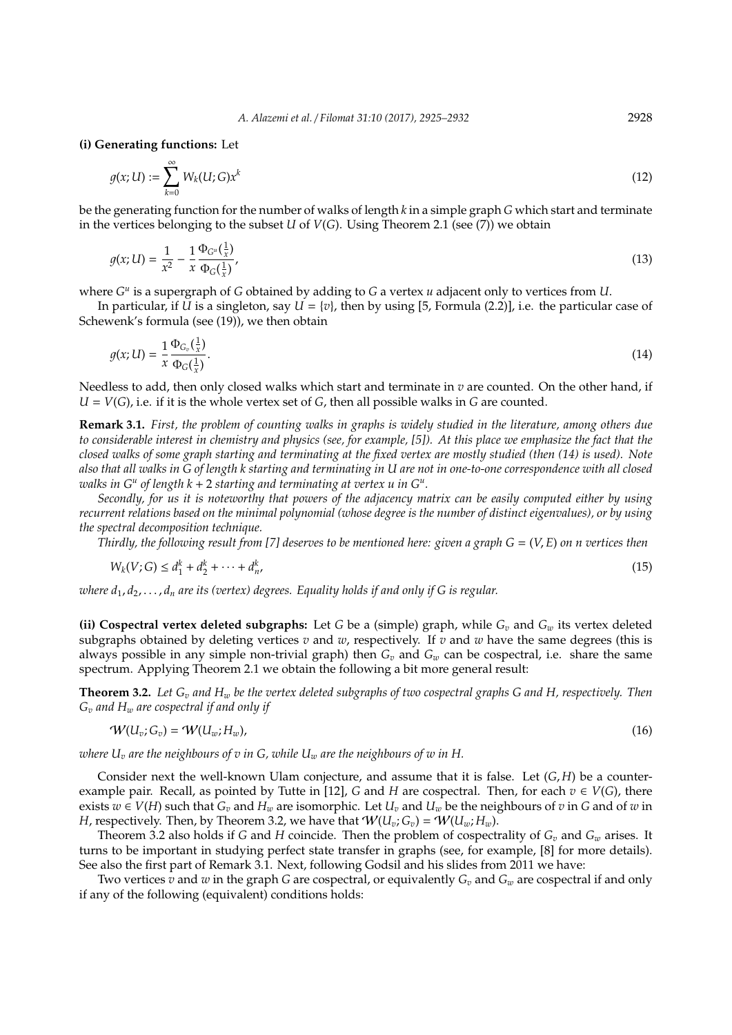**(i) Generating functions:** Let

$$
g(x; U) := \sum_{k=0}^{\infty} W_k(U; G) x^k
$$
\n(12)

be the generating function for the number of walks of length *k* in a simple graph *G* which start and terminate in the vertices belonging to the subset *U* of *V*(*G*). Using Theorem 2.1 (see (7)) we obtain

$$
g(x;U) = \frac{1}{x^2} - \frac{1}{x} \frac{\Phi_{G^u}(\frac{1}{x})}{\Phi_G(\frac{1}{x})},
$$
\n(13)

where  $G^u$  is a supergraph of *G* obtained by adding to *G* a vertex *u* adjacent only to vertices from *U*.

In particular, if *U* is a singleton, say  $U = \{v\}$ , then by using [5, Formula (2.2)], i.e. the particular case of Schewenk's formula (see (19)), we then obtain

$$
g(x; U) = \frac{1}{x} \frac{\Phi_{G_v}(\frac{1}{x})}{\Phi_G(\frac{1}{x})}.
$$
 (14)

Needless to add, then only closed walks which start and terminate in *v* are counted. On the other hand, if  $U = V(G)$ , i.e. if it is the whole vertex set of *G*, then all possible walks in *G* are counted.

**Remark 3.1.** *First, the problem of counting walks in graphs is widely studied in the literature, among others due to considerable interest in chemistry and physics (see, for example, [5]). At this place we emphasize the fact that the closed walks of some graph starting and terminating at the fixed vertex are mostly studied (then (14) is used). Note also that all walks in G of length k starting and terminating in U are not in one-to-one correspondence with all closed walks in G<sup>u</sup> of length k* + 2 *starting and terminating at vertex u in G<sup>u</sup> .*

*Secondly, for us it is noteworthy that powers of the adjacency matrix can be easily computed either by using recurrent relations based on the minimal polynomial (whose degree is the number of distinct eigenvalues), or by using the spectral decomposition technique.*

*Thirdly, the following result from [7] deserves to be mentioned here: given a graph G* = (*V*, *E*) *on n vertices then*

$$
W_k(V;G) \le d_1^k + d_2^k + \dots + d_n^k,
$$
\n(15)

*where d*1, *d*2, . . . , *d<sup>n</sup> are its (vertex) degrees. Equality holds if and only if G is regular.*

**(ii) Cospectral vertex deleted subgraphs:** Let *G* be a (simple) graph, while *G<sup>v</sup>* and *G<sup>w</sup>* its vertex deleted subgraphs obtained by deleting vertices *v* and *w*, respectively. If *v* and *w* have the same degrees (this is always possible in any simple non-trivial graph) then  $G_v$  and  $G_w$  can be cospectral, i.e. share the same spectrum. Applying Theorem 2.1 we obtain the following a bit more general result:

**Theorem 3.2.** *Let G<sup>v</sup> and H<sup>w</sup> be the vertex deleted subgraphs of two cospectral graphs G and H, respectively. Then G<sup>v</sup> and H<sup>w</sup> are cospectral if and only if*

$$
\mathcal{W}(U_v; G_v) = \mathcal{W}(U_w; H_w), \tag{16}
$$

*where U<sup>v</sup> are the neighbours of v in G, while U<sup>w</sup> are the neighbours of w in H.*

Consider next the well-known Ulam conjecture, and assume that it is false. Let  $(G, H)$  be a counterexample pair. Recall, as pointed by Tutte in [12], *G* and *H* are cospectral. Then, for each  $v \in V(G)$ , there exists  $w \in V(H)$  such that  $G_v$  and  $H_w$  are isomorphic. Let  $U_v$  and  $U_w$  be the neighbours of *v* in *G* and of *w* in *H*, respectively. Then, by Theorem 3.2, we have that  $W(U_v; G_v) = W(U_w; H_w)$ .

Theorem 3.2 also holds if *G* and *H* coincide. Then the problem of cospectrality of  $G_v$  and  $G_w$  arises. It turns to be important in studying perfect state transfer in graphs (see, for example, [8] for more details). See also the first part of Remark 3.1. Next, following Godsil and his slides from 2011 we have:

Two vertices *v* and *w* in the graph *G* are cospectral, or equivalently *G<sup>v</sup>* and *G<sup>w</sup>* are cospectral if and only if any of the following (equivalent) conditions holds: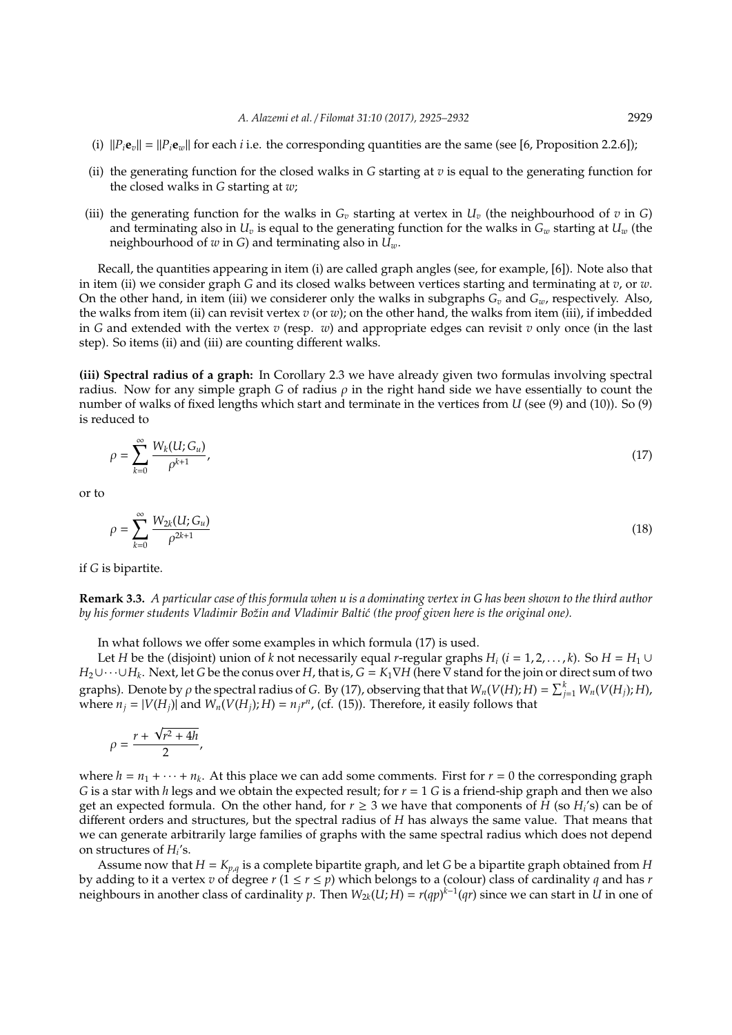- (i)  $||P_i\mathbf{e}_v|| = ||P_i\mathbf{e}_v||$  for each *i* i.e. the corresponding quantities are the same (see [6, Proposition 2.2.6]);
- (ii) the generating function for the closed walks in *G* starting at *v* is equal to the generating function for the closed walks in *G* starting at *w*;
- (iii) the generating function for the walks in  $G_v$  starting at vertex in  $U_v$  (the neighbourhood of  $v$  in  $G$ ) and terminating also in  $U_v$  is equal to the generating function for the walks in  $G_w$  starting at  $U_w$  (the neighbourhood of *w* in *G*) and terminating also in *Uw*.

Recall, the quantities appearing in item (i) are called graph angles (see, for example, [6]). Note also that in item (ii) we consider graph *G* and its closed walks between vertices starting and terminating at *v*, or *w*. On the other hand, in item (iii) we considerer only the walks in subgraphs  $G_v$  and  $G_w$ , respectively. Also, the walks from item (ii) can revisit vertex *v* (or *w*); on the other hand, the walks from item (iii), if imbedded in *G* and extended with the vertex *v* (resp. *w*) and appropriate edges can revisit *v* only once (in the last step). So items (ii) and (iii) are counting different walks.

**(iii) Spectral radius of a graph:** In Corollary 2.3 we have already given two formulas involving spectral radius. Now for any simple graph *G* of radius  $\rho$  in the right hand side we have essentially to count the number of walks of fixed lengths which start and terminate in the vertices from *U* (see (9) and (10)). So (9) is reduced to

$$
\rho = \sum_{k=0}^{\infty} \frac{W_k(U;G_u)}{\rho^{k+1}},\tag{17}
$$

or to

$$
\rho = \sum_{k=0}^{\infty} \frac{W_{2k}(U; G_u)}{\rho^{2k+1}}
$$
(18)

if *G* is bipartite.

**Remark 3.3.** *A particular case of this formula when u is a dominating vertex in G has been shown to the third author* by his former students Vladimir Božin and Vladimir Baltić (the proof given here is the original one).

In what follows we offer some examples in which formula (17) is used.

Let *H* be the (disjoint) union of *k* not necessarily equal *r*-regular graphs  $H_i$  ( $i = 1, 2, ..., k$ ). So  $H = H_1 \cup$ *H*2∪· · ·∪*H<sup>k</sup>* . Next, let *G* be the conus over *H*, that is, *G* = *K*1∇*H* (here ∇ stand for the join or direct sum of two graphs). Denote by  $\rho$  the spectral radius of *G*. By (17), observing that that  $W_n(V(H); H) = \sum_{j=1}^k W_n(V(H_j); H)$ , where  $n_j = |V(H_j)|$  and  $W_n(V(H_j); H) = n_j r^n$ , (cf. (15)). Therefore, it easily follows that

$$
\rho=\frac{r+\sqrt{r^2+4h}}{2},
$$

where  $h = n_1 + \cdots + n_k$ . At this place we can add some comments. First for  $r = 0$  the corresponding graph *G* is a star with *h* legs and we obtain the expected result; for *r* = 1 *G* is a friend-ship graph and then we also get an expected formula. On the other hand, for  $r \geq 3$  we have that components of  $\hat{H}$  (so  $H_i$ 's) can be of different orders and structures, but the spectral radius of *H* has always the same value. That means that we can generate arbitrarily large families of graphs with the same spectral radius which does not depend on structures of  $H_i$ 's.

Assume now that *H* = *Kp*,*<sup>q</sup>* is a complete bipartite graph, and let *G* be a bipartite graph obtained from *H* by adding to it a vertex *v* of degree *r*  $(1 \le r \le p)$  which belongs to a (colour) class of cardinality *q* and has *r* neighbours in another class of cardinality *p*. Then  $W_{2k}(U;H) = r(qp)^{k-1}(qr)$  since we can start in U in one of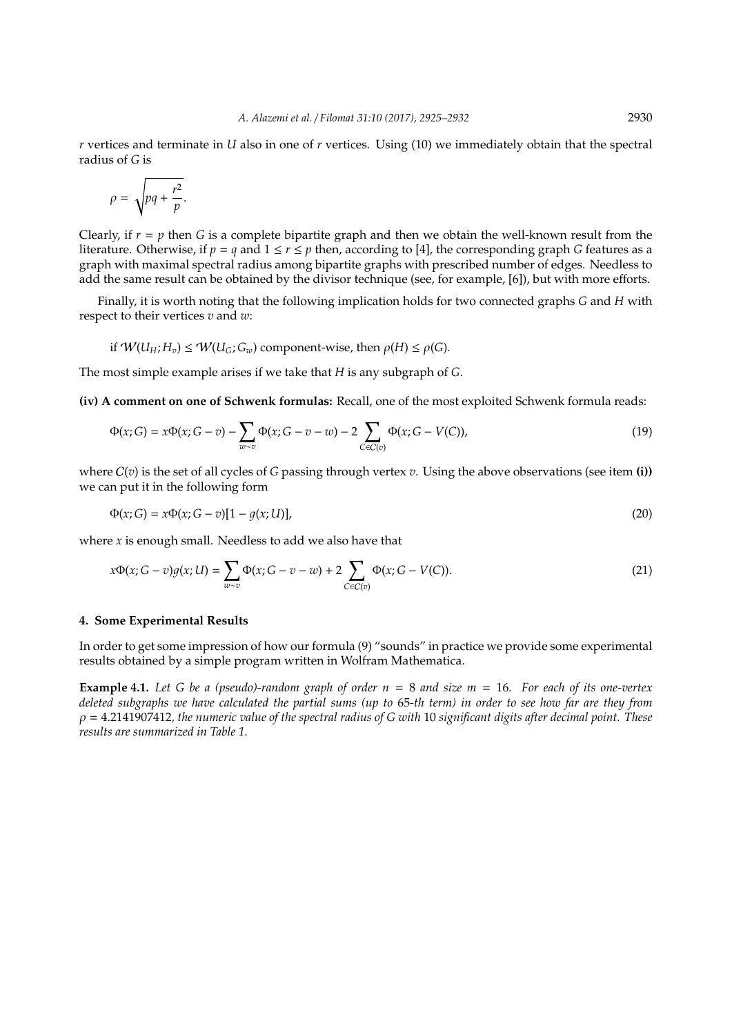*r* vertices and terminate in *U* also in one of *r* vertices. Using (10) we immediately obtain that the spectral radius of *G* is

$$
\rho = \sqrt{pq + \frac{r^2}{p}}.
$$

Clearly, if  $r = p$  then *G* is a complete bipartite graph and then we obtain the well-known result from the literature. Otherwise, if  $p = q$  and  $1 \le r \le p$  then, according to [4], the corresponding graph *G* features as a graph with maximal spectral radius among bipartite graphs with prescribed number of edges. Needless to add the same result can be obtained by the divisor technique (see, for example, [6]), but with more efforts.

Finally, it is worth noting that the following implication holds for two connected graphs *G* and *H* with respect to their vertices *v* and *w*:

if 
$$
W(U_H; H_v) \leq W(U_G; G_w)
$$
 component-wise, then  $\rho(H) \leq \rho(G)$ .

The most simple example arises if we take that *H* is any subgraph of *G*.

**(iv) A comment on one of Schwenk formulas:** Recall, one of the most exploited Schwenk formula reads:

$$
\Phi(x;G) = x\Phi(x;G-v) - \sum_{w \sim v} \Phi(x;G-v-w) - 2 \sum_{C \in C(v)} \Phi(x;G-V(C)),
$$
\n(19)

where C(*v*) is the set of all cycles of *G* passing through vertex *v*. Using the above observations (see item **(i))** we can put it in the following form

$$
\Phi(x;G) = x\Phi(x;G-v)[1 - g(x;U)],
$$
\n(20)

where *x* is enough small. Needless to add we also have that

$$
x\Phi(x; G - v)g(x; U) = \sum_{w \sim v} \Phi(x; G - v - w) + 2 \sum_{C \in C(v)} \Phi(x; G - V(C)).
$$
\n(21)

#### **4. Some Experimental Results**

In order to get some impression of how our formula (9) "sounds" in practice we provide some experimental results obtained by a simple program written in Wolfram Mathematica.

**Example 4.1.** *Let G be a (pseudo)-random graph of order n* = 8 *and size m* = 16*. For each of its one-vertex deleted subgraphs we have calculated the partial sums (up to* 65*-th term) in order to see how far are they from* ρ = 4.2141907412*, the numeric value of the spectral radius of G with* 10 *significant digits after decimal point. These results are summarized in Table 1.*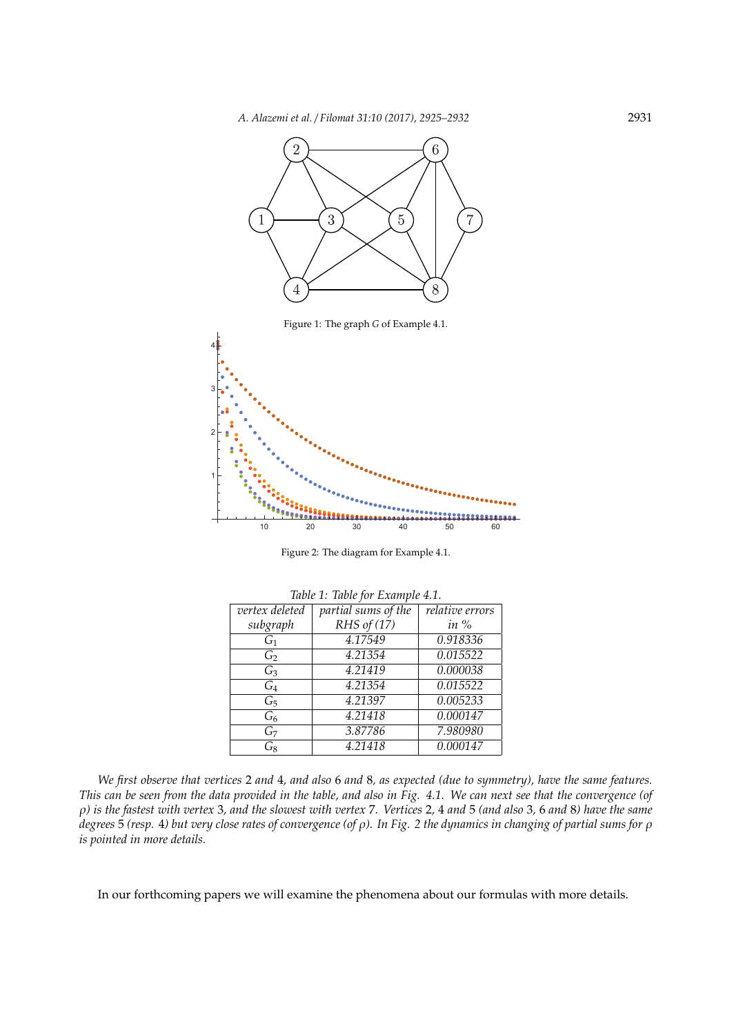

Figure 2: The diagram for Example 4.1.

| Table 1: Table for Example 4.1. |                     |                 |
|---------------------------------|---------------------|-----------------|
| vertex deleted                  | partial sums of the | relative errors |
| subgraph                        | RHS of $(17)$       | in $%$          |
| $G_1$                           | 4.17549             | 0.918336        |
| G <sub>2</sub>                  | 4.21354             | 0.015522        |
| $G_3$                           | 4.21419             | 0.000038        |
| $G_4$                           | 4.21354             | 0.015522        |
| $G_5$                           | 4.21397             | 0.005233        |
| $G_6$                           | 4.21418             | 0.000147        |
| $G_7$                           | 3.87786             | 7.980980        |
| $G_8$                           | 4.21418             | 0.000147        |

*We first observe that vertices* 2 *and* 4*, and also* 6 *and* 8*, as expected (due to symmetry), have the same features. This can be seen from the data provided in the table, and also in Fig. 4.1. We can next see that the convergence (of* ρ*) is the fastest with vertex* 3*, and the slowest with vertex* 7*. Vertices* 2*,* 4 *and* 5 *(and also* 3*,* 6 *and* 8*) have the same degrees* 5 *(resp.* 4*) but very close rates of convergence (of* ρ*). In Fig. 2 the dynamics in changing of partial sums for* ρ *is pointed in more details.*

In our forthcoming papers we will examine the phenomena about our formulas with more details.